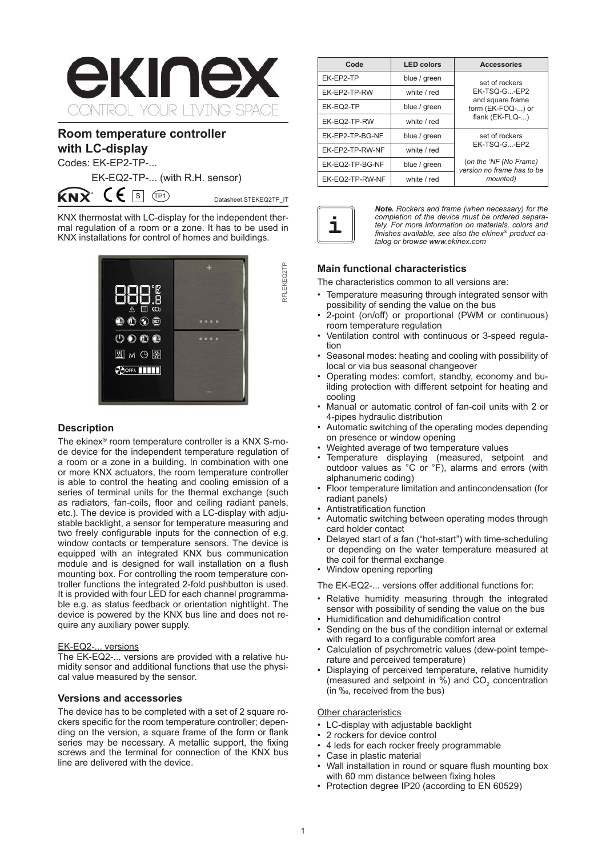

# **Room temperature controller with LC-display**

Codes: EK-EP2-TP-...

ќмx

EK-EQ2-TP-... (with R.H. sensor)

 $\mathsf{CE}$  S  $\overline{(\mathsf{P}1)}$  Datasheet STEKEQ2TP\_IT

RFLEKEQ2TP

RFLEKEQ2TP

KNX thermostat with LC-display for the independent thermal regulation of a room or a zone. It has to be used in KNX installations for control of homes and buildings.



# **Description**

The ekinex® room temperature controller is a KNX S-mode device for the independent temperature regulation of a room or a zone in a building. In combination with one or more KNX actuators, the room temperature controller is able to control the heating and cooling emission of a series of terminal units for the thermal exchange (such as radiators, fan-coils, floor and ceiling radiant panels, etc.). The device is provided with a LC-display with adjustable backlight, a sensor for temperature measuring and two freely configurable inputs for the connection of e.g. window contacts or temperature sensors. The device is equipped with an integrated KNX bus communication module and is designed for wall installation on a flush mounting box. For controlling the room temperature controller functions the integrated 2-fold pushbutton is used. It is provided with four LED for each channel programmable e.g. as status feedback or orientation nightlight. The device is powered by the KNX bus line and does not require any auxiliary power supply.

### EK-EQ2-... versions

The EK-EQ2-... versions are provided with a relative humidity sensor and additional functions that use the physical value measured by the sensor.

# **Versions and accessories**

The device has to be completed with a set of 2 square rockers specific for the room temperature controller; depending on the version, a square frame of the form or flank series may be necessary. A metallic support, the fixing screws and the terminal for connection of the KNX bus line are delivered with the device.

| Code            | <b>LED colors</b> | <b>Accessories</b>                                                                                 |  |
|-----------------|-------------------|----------------------------------------------------------------------------------------------------|--|
| EK-EP2-TP       | blue / green      | set of rockers                                                                                     |  |
| EK-EP2-TP-RW    | white / red       | EK-TSQ-G-EP2                                                                                       |  |
| EK-EQ2-TP       | blue / green      | and square frame<br>form (EK-FOQ-) or                                                              |  |
| EK-EQ2-TP-RW    | white / red       | flank (EK-FLQ-)                                                                                    |  |
| EK-EP2-TP-BG-NF | blue / green      | set of rockers<br>EK-TSQ-G-EP2<br>(on the 'NF (No Frame)<br>version no frame has to be<br>mounted) |  |
| EK-EP2-TP-RW-NF | white / red       |                                                                                                    |  |
| EK-EQ2-TP-BG-NF | blue / green      |                                                                                                    |  |
| EK-EQ2-TP-RW-NF | white / red       |                                                                                                    |  |



*Note. Rockers and frame (when necessary) for the completion of the device must be ordered separately. For more information on materials, colors and finishes available, see also the ekinex® product catalog or browse www.ekinex.com*

# **Main functional characteristics**

The characteristics common to all versions are:

- Temperature measuring through integrated sensor with possibility of sending the value on the bus
- 2-point (on/off) or proportional (PWM or continuous) room temperature regulation
- Ventilation control with continuous or 3-speed regulation
- Seasonal modes: heating and cooling with possibility of local or via bus seasonal changeover
- Operating modes: comfort, standby, economy and building protection with different setpoint for heating and cooling
- Manual or automatic control of fan-coil units with 2 or 4-pipes hydraulic distribution
- Automatic switching of the operating modes depending on presence or window opening
- Weighted average of two temperature values
- Temperature displaying (measured, setpoint and outdoor values as °C or °F), alarms and errors (with alphanumeric coding)
- Floor temperature limitation and antincondensation (for radiant panels)
- Antistratification function
- Automatic switching between operating modes through card holder contact
- Delayed start of a fan ("hot-start") with time-scheduling or depending on the water temperature measured at the coil for thermal exchange
- Window opening reporting

The EK-EQ2-... versions offer additional functions for:

- Relative humidity measuring through the integrated sensor with possibility of sending the value on the bus
- Humidification and dehumidification control Sending on the bus of the condition internal or external
- with regard to a configurable comfort area
- Calculation of psychrometric values (dew-point temperature and perceived temperature)
- Displaying of perceived temperature, relative humidity (measured and setpoint in  $\%$ ) and CO<sub>2</sub> concentration (in ‰, received from the bus)

# Other characteristics

- LC-display with adjustable backlight
- 2 rockers for device control
- 4 leds for each rocker freely programmable
- Case in plastic material
- Wall installation in round or square flush mounting box with 60 mm distance between fixing holes
- Protection degree IP20 (according to EN 60529)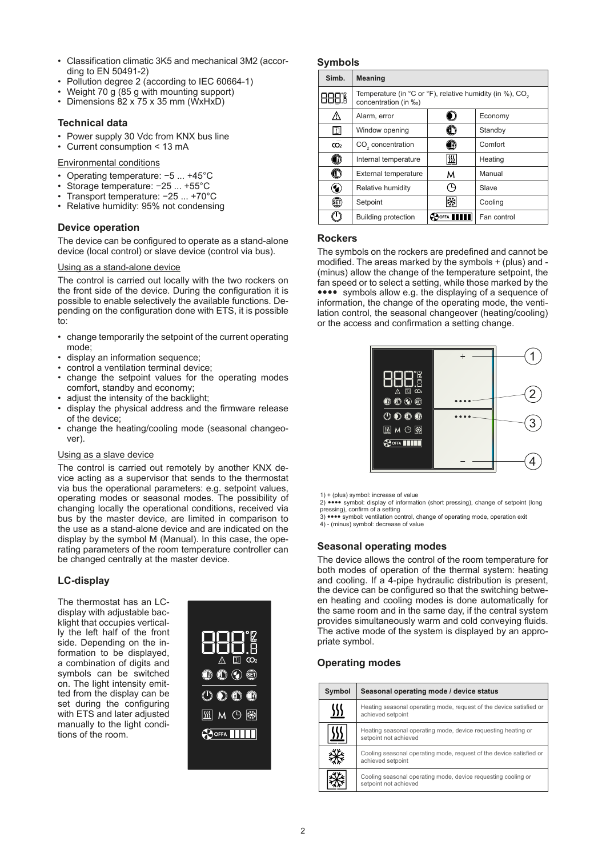- Classification climatic 3K5 and mechanical 3M2 (according to EN 50491-2)
- Pollution degree 2 (according to IEC 60664-1)
- Weight 70 g (85 g with mounting support)
- Dimensions 82 x 75 x 35 mm (WxHxD)

### **Technical data**

- Power supply 30 Vdc from KNX bus line
- Current consumption < 13 mA

#### Environmental conditions

- Operating temperature: −5 ... +45°C
- Storage temperature: −25 ... +55°C
- Transport temperature: −25 ... +70°C
- Relative humidity: 95% not condensing

### **Device operation**

The device can be configured to operate as a stand-alone device (local control) or slave device (control via bus).

#### Using as a stand-alone device

The control is carried out locally with the two rockers on the front side of the device. During the configuration it is possible to enable selectively the available functions. Depending on the configuration done with ETS, it is possible to:

- change temporarily the setpoint of the current operating mode;
- display an information sequence;
- control a ventilation terminal device;
- change the setpoint values for the operating modes comfort, standby and economy;
- adjust the intensity of the backlight;
- display the physical address and the firmware release of the device;
- change the heating/cooling mode (seasonal changeover).

### Using as a slave device

The control is carried out remotely by another KNX device acting as a supervisor that sends to the thermostat via bus the operational parameters: e.g. setpoint values, operating modes or seasonal modes. The possibility of changing locally the operational conditions, received via bus by the master device, are limited in comparison to the use as a stand-alone device and are indicated on the display by the symbol M (Manual). In this case, the operating parameters of the room temperature controller can be changed centrally at the master device.

# **LC-display**

The thermostat has an LCdisplay with adjustable backlight that occupies vertically the left half of the front side. Depending on the information to be displayed, a combination of digits and symbols can be switched on. The light intensity emitted from the display can be set during the configuring with ETS and later adjusted manually to the light conditions of the room.



### **Symbols**

| Simb.           | <b>Meaning</b>                                                                               |            |             |
|-----------------|----------------------------------------------------------------------------------------------|------------|-------------|
|                 | Temperature (in °C or °F), relative humidity (in %), CO <sub>2</sub><br>concentration (in ‰) |            |             |
|                 | Alarm, error                                                                                 |            | Economy     |
| DI              | Window opening                                                                               |            | Standby     |
| CO <sub>2</sub> | CO <sub>2</sub> concentration                                                                | 16         | Comfort     |
| n               | Internal temperature                                                                         | <u>sss</u> | Heating     |
| ◐               | <b>External temperature</b>                                                                  | м          | Manual      |
| 9               | Relative humidity                                                                            |            | Slave       |
| (E)             | Setpoint                                                                                     |            | Cooling     |
|                 | <b>Building protection</b>                                                                   |            | Fan control |

# **Rockers**

The symbols on the rockers are predefined and cannot be modified. The areas marked by the symbols + (plus) and - (minus) allow the change of the temperature setpoint, the fan speed or to select a setting, while those marked by the symbols allow e.g. the displaying of a sequence of information, the change of the operating mode, the ventilation control, the seasonal changeover (heating/cooling) or the access and confirmation a setting change.



1) + (plus) symbol: increase of value

2) **sees** symbol: display of information (short pressing), change of setpoint (long pressing), confirm of a setting<br>3) ●●●● symbol: ventilation control, change of operating mode, operation exit

4) - (minus) symbol: decrease of value

**Seasonal operating modes**

The device allows the control of the room temperature for both modes of operation of the thermal system: heating and cooling. If a 4-pipe hydraulic distribution is present, the device can be configured so that the switching between heating and cooling modes is done automatically for the same room and in the same day, if the central system provides simultaneously warm and cold conveying fluids. The active mode of the system is displayed by an appropriate symbol.

# **Operating modes**

| Symbol     | Seasonal operating mode / device status                                                  |
|------------|------------------------------------------------------------------------------------------|
| <u>SSS</u> | Heating seasonal operating mode, request of the device satisfied or<br>achieved setpoint |
| <u>\)</u>  | Heating seasonal operating mode, device requesting heating or<br>setpoint not achieved   |
|            | Cooling seasonal operating mode, request of the device satisfied or<br>achieved setpoint |
|            | Cooling seasonal operating mode, device requesting cooling or<br>setpoint not achieved   |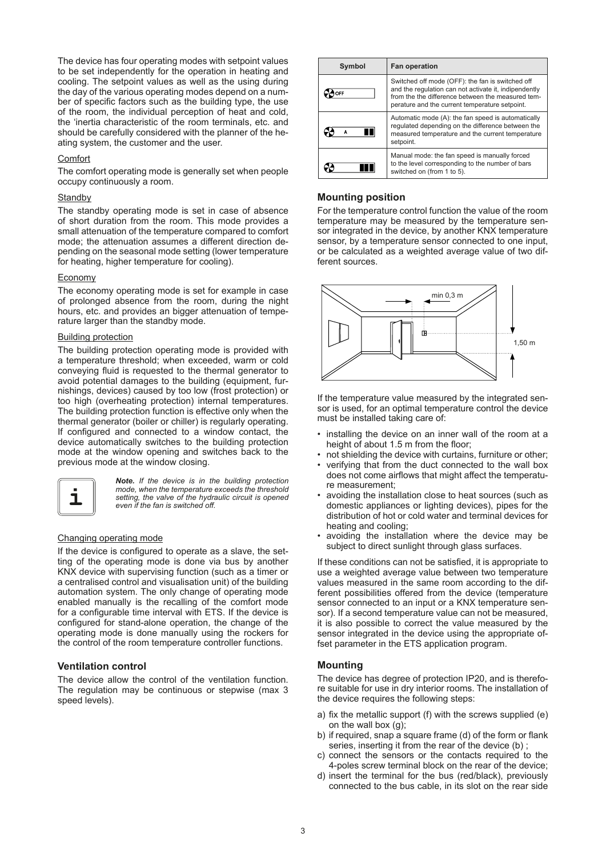The device has four operating modes with setpoint values to be set independently for the operation in heating and cooling. The setpoint values as well as the using during the day of the various operating modes depend on a number of specific factors such as the building type, the use of the room, the individual perception of heat and cold, the 'inertia characteristic of the room terminals, etc. and should be carefully considered with the planner of the heating system, the customer and the user.

### Comfort

The comfort operating mode is generally set when people occupy continuously a room.

### **Standby**

The standby operating mode is set in case of absence of short duration from the room. This mode provides a small attenuation of the temperature compared to comfort mode; the attenuation assumes a different direction depending on the seasonal mode setting (lower temperature for heating, higher temperature for cooling).

#### Economy

The economy operating mode is set for example in case of prolonged absence from the room, during the night hours, etc. and provides an bigger attenuation of temperature larger than the standby mode.

### Building protection

The building protection operating mode is provided with a temperature threshold; when exceeded, warm or cold conveying fluid is requested to the thermal generator to avoid potential damages to the building (equipment, furnishings, devices) caused by too low (frost protection) or too high (overheating protection) internal temperatures. The building protection function is effective only when the thermal generator (boiler or chiller) is regularly operating. If configured and connected to a window contact, the device automatically switches to the building protection mode at the window opening and switches back to the previous mode at the window closing.



*Note. If the device is in the building protection mode, when the temperature exceeds the threshold*  **1** setting, the valve of the hydraulic circuit is opened even if the fan is switched off.

### Changing operating mode

If the device is configured to operate as a slave, the setting of the operating mode is done via bus by another KNX device with supervising function (such as a timer or a centralised control and visualisation unit) of the building automation system. The only change of operating mode enabled manually is the recalling of the comfort mode for a configurable time interval with ETS. If the device is configured for stand-alone operation, the change of the operating mode is done manually using the rockers for the control of the room temperature controller functions.

### **Ventilation control**

The device allow the control of the ventilation function. The regulation may be continuous or stepwise (max 3 speed levels).

| Symbol | <b>Fan operation</b>                                                                                                                                                                                             |  |
|--------|------------------------------------------------------------------------------------------------------------------------------------------------------------------------------------------------------------------|--|
|        | Switched off mode (OFF): the fan is switched off<br>and the regulation can not activate it, indipendently<br>from the the difference between the measured tem-<br>perature and the current temperature setpoint. |  |
| W<br>А | Automatic mode (A): the fan speed is automatically<br>regulated depending on the difference between the<br>measured temperature and the current temperature<br>setpoint.                                         |  |
|        | Manual mode: the fan speed is manually forced<br>to the level corresponding to the number of bars<br>switched on (from 1 to 5).                                                                                  |  |

# **Mounting position**

For the temperature control function the value of the room temperature may be measured by the temperature sensor integrated in the device, by another KNX temperature sensor, by a temperature sensor connected to one input, or be calculated as a weighted average value of two different sources.



If the temperature value measured by the integrated sensor is used, for an optimal temperature control the device must be installed taking care of:

- installing the device on an inner wall of the room at a height of about 1.5 m from the floor;
- not shielding the device with curtains, furniture or other;<br>• verifying that from the duct connected to the wall bey
- verifying that from the duct connected to the wall box does not come airflows that might affect the temperature measurement;
- avoiding the installation close to heat sources (such as domestic appliances or lighting devices), pipes for the distribution of hot or cold water and terminal devices for heating and cooling;
- avoiding the installation where the device may be subject to direct sunlight through glass surfaces.

If these conditions can not be satisfied, it is appropriate to use a weighted average value between two temperature values measured in the same room according to the different possibilities offered from the device (temperature sensor connected to an input or a KNX temperature sensor). If a second temperature value can not be measured, it is also possible to correct the value measured by the sensor integrated in the device using the appropriate offset parameter in the ETS application program.

### **Mounting**

The device has degree of protection IP20, and is therefore suitable for use in dry interior rooms. The installation of the device requires the following steps:

- a) fix the metallic support (f) with the screws supplied (e) on the wall box (g);
- b) if required, snap a square frame (d) of the form or flank series, inserting it from the rear of the device (b) ;
- c) connect the sensors or the contacts required to the 4-poles screw terminal block on the rear of the device;
- d) insert the terminal for the bus (red/black), previously connected to the bus cable, in its slot on the rear side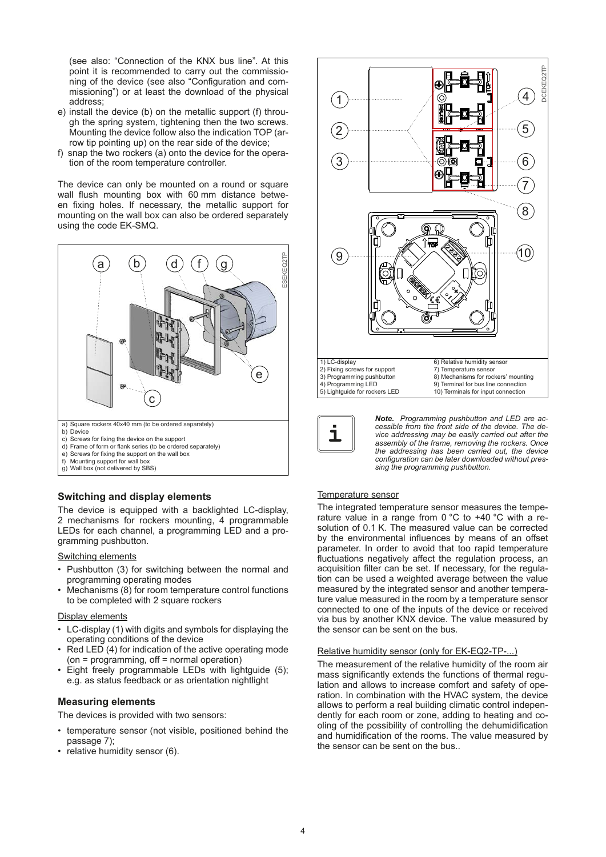(see also: "Connection of the KNX bus line". At this point it is recommended to carry out the commissioning of the device (see also "Configuration and commissioning") or at least the download of the physical address;

- e) install the device (b) on the metallic support (f) through the spring system, tightening then the two screws. Mounting the device follow also the indication TOP (arrow tip pointing up) on the rear side of the device;
- f) snap the two rockers (a) onto the device for the operation of the room temperature controller.

The device can only be mounted on a round or square wall flush mounting box with 60 mm distance between fixing holes. If necessary, the metallic support for mounting on the wall box can also be ordered separately using the code EK-SMQ.



# **Switching and display elements**

The device is equipped with a backlighted LC-display, 2 mechanisms for rockers mounting, 4 programmable LEDs for each channel, a programming LED and a programming pushbutton.

Switching elements

- Pushbutton (3) for switching between the normal and programming operating modes
- Mechanisms (8) for room temperature control functions to be completed with 2 square rockers

#### Display elements

- LC-display (1) with digits and symbols for displaying the operating conditions of the device
- Red LED (4) for indication of the active operating mode (on = programming, off = normal operation)
- Eight freely programmable LEDs with lightguide (5); e.g. as status feedback or as orientation nightlight

#### **Measuring elements**

The devices is provided with two sensors:

- temperature sensor (not visible, positioned behind the passage 7);
- relative humidity sensor (6).





*Note. Programming pushbutton and LED are accessible from the front side of the device. The device addressing may be easily carried out after the assembly of the frame, removing the rockers. Once the addressing has been carried out, the device configuration can be later downloaded without pressing the programming pushbutton.*

### Temperature sensor

The integrated temperature sensor measures the temperature value in a range from 0 °C to +40 °C with a resolution of 0.1 K. The measured value can be corrected by the environmental influences by means of an offset parameter. In order to avoid that too rapid temperature fluctuations negatively affect the regulation process, an acquisition filter can be set. If necessary, for the regulation can be used a weighted average between the value measured by the integrated sensor and another temperature value measured in the room by a temperature sensor connected to one of the inputs of the device or received via bus by another KNX device. The value measured by the sensor can be sent on the bus.

#### Relative humidity sensor (only for EK-EQ2-TP-...)

The measurement of the relative humidity of the room air mass significantly extends the functions of thermal regulation and allows to increase comfort and safety of operation. In combination with the HVAC system, the device allows to perform a real building climatic control independently for each room or zone, adding to heating and cooling of the possibility of controlling the dehumidification and humidification of the rooms. The value measured by the sensor can be sent on the bus..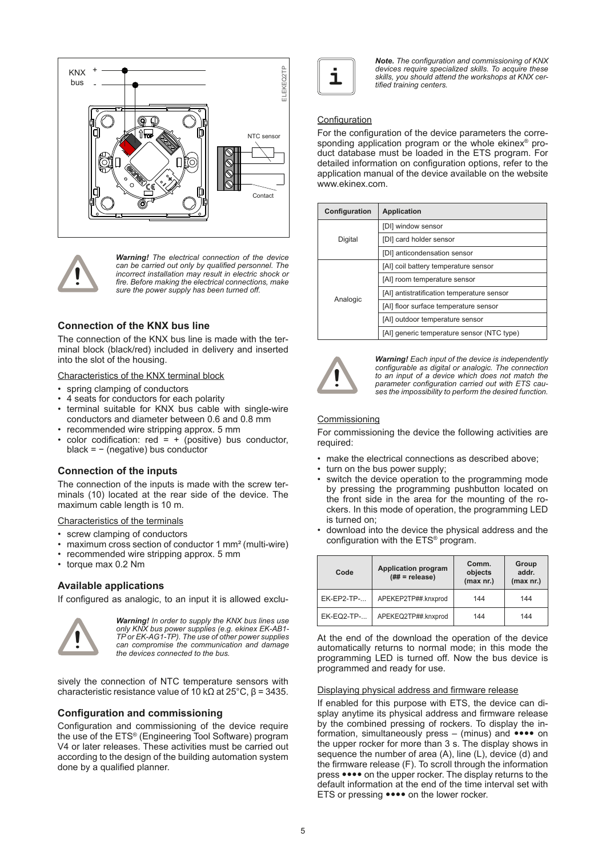



*Warning! The electrical connection of the device can be carried out only by qualified personnel. The incorrect installation may result in electric shock or fire. Before making the electrical connections, make sure the power supply has been turned off.*

### **Connection of the KNX bus line**

The connection of the KNX bus line is made with the terminal block (black/red) included in delivery and inserted into the slot of the housing.

Characteristics of the KNX terminal block

- spring clamping of conductors
- 4 seats for conductors for each polarity
- terminal suitable for KNX bus cable with single-wire conductors and diameter between 0.6 and 0.8 mm
- recommended wire stripping approx. 5 mm
- color codification:  $red = + (positive)$  bus conductor, black = − (negative) bus conductor

### **Connection of the inputs**

The connection of the inputs is made with the screw terminals (10) located at the rear side of the device. The maximum cable length is 10 m.

Characteristics of the terminals

- screw clamping of conductors
- maximum cross section of conductor 1 mm² (multi-wire)
- recommended wire stripping approx. 5 mm
- torque max 0.2 Nm

### **Available applications**

If configured as analogic, to an input it is allowed exclu-



*Warning! In order to supply the KNX bus lines use only KNX bus power supplies (e.g. ekinex EK-AB1- TP or EK-AG1-TP). The use of other power supplies can compromise the communication and damage the devices connected to the bus.*

sively the connection of NTC temperature sensors with characteristic resistance value of 10 kΩ at 25°C, β = 3435.

#### **Configuration and commissioning**

Configuration and commissioning of the device require the use of the ETS® (Engineering Tool Software) program V4 or later releases. These activities must be carried out according to the design of the building automation system done by a qualified planner.



*Note. The configuration and commissioning of KNX devices require specialized skills. To acquire these skills, you should attend the workshops at KNX cer-* **i** *tified training centers.*

# **Configuration**

For the configuration of the device parameters the corresponding application program or the whole ekinex® product database must be loaded in the ETS program. For detailed information on configuration options, refer to the application manual of the device available on the website www.ekinex.com.

| Configuration | <b>Application</b>                         |  |
|---------------|--------------------------------------------|--|
| Digital       | [DI] window sensor                         |  |
|               | [DI] card holder sensor                    |  |
|               | [DI] anticondensation sensor               |  |
| Analogic      | [AI] coil battery temperature sensor       |  |
|               | [AI] room temperature sensor               |  |
|               | [AI] antistratification temperature sensor |  |
|               | [AI] floor surface temperature sensor      |  |
|               | [AI] outdoor temperature sensor            |  |
|               | [AI] generic temperature sensor (NTC type) |  |



*Warning! Each input of the device is independently configurable as digital or analogic. The connection to an input of a device which does not match the parameter configuration carried out with ETS causes the impossibility to perform the desired function.* 

#### **Commissioning**

For commissioning the device the following activities are required:

- make the electrical connections as described above;
- turn on the bus power supply;
- switch the device operation to the programming mode by pressing the programming pushbutton located on the front side in the area for the mounting of the rockers. In this mode of operation, the programming LED is turned on;
- download into the device the physical address and the configuration with the ETS® program.

| Code              | <b>Application program</b><br>$(\## = \text{release})$ | Comm.<br>objects<br>(max nr.) | Group<br>addr.<br>(max nr.) |
|-------------------|--------------------------------------------------------|-------------------------------|-----------------------------|
| $EK-EP2-TP-.$     | APEKEP2TP##.knxprod                                    | 144                           | 144                         |
| <b>EK-EQ2-TP-</b> | APEKEQ2TP##.knxprod                                    | 144                           | 144                         |

At the end of the download the operation of the device automatically returns to normal mode; in this mode the programming LED is turned off. Now the bus device is programmed and ready for use.

#### Displaying physical address and firmware release

If enabled for this purpose with ETS, the device can display anytime its physical address and firmware release by the combined pressing of rockers. To display the information, simultaneously press  $-$  (minus) and  $\bullet \bullet \bullet \bullet$  on the upper rocker for more than 3 s. The display shows in sequence the number of area (A), line (L), device (d) and the firmware release (F). To scroll through the information press  $\bullet \bullet \bullet \bullet$  on the upper rocker. The display returns to the default information at the end of the time interval set with ETS or pressing  $\bullet \bullet \bullet \bullet$  on the lower rocker.